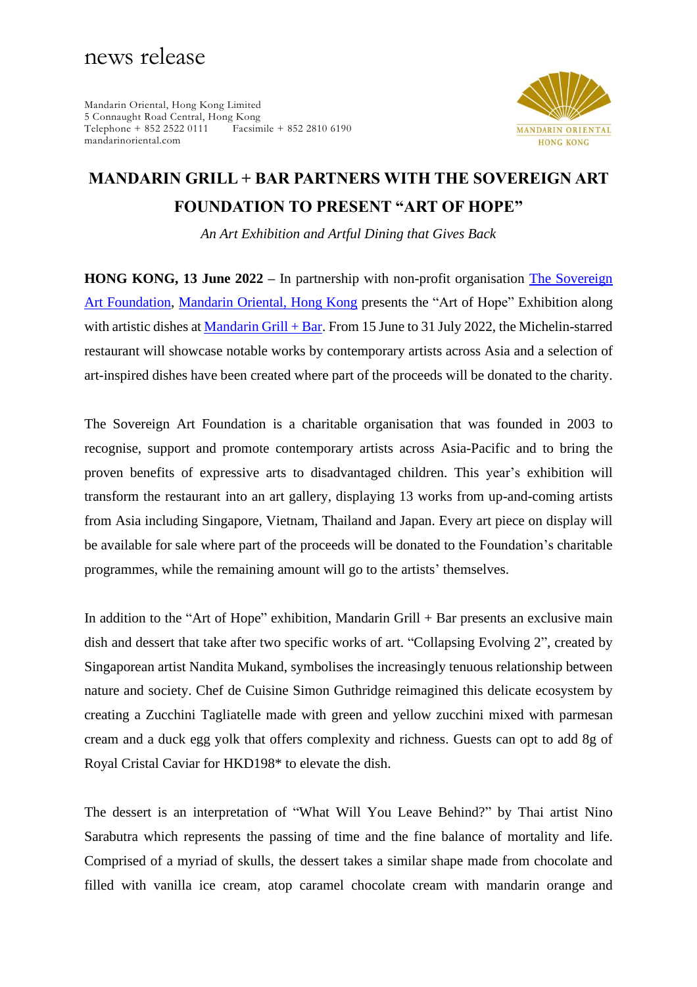## news release

Mandarin Oriental, Hong Kong Limited 5 Connaught Road Central, Hong Kong<br>Telephone + 852 2522 0111 Facsimile + 852 2810 6190  $Telephone + 852 2522 0111$ mandarinoriental.com



# **MANDARIN GRILL + BAR PARTNERS WITH THE SOVEREIGN ART FOUNDATION TO PRESENT "ART OF HOPE"**

*An Art Exhibition and Artful Dining that Gives Back*

**HONG KONG, 13 June 2022 –** In partnership with non-profit organisation [The Sovereign](https://www.sovereignartfoundation.com/)  [Art Foundation,](https://www.sovereignartfoundation.com/) [Mandarin Oriental, Hong Kong](http://www.mandarinoriental.com/hongkong/) presents the "Art of Hope" Exhibition along with artistic dishes at [Mandarin Grill + Bar.](https://www.mandarinoriental.com/hong-kong/victoria-harbour/fine-dining/restaurants/european-cuisine/mandarin-grill-and-bar) From 15 June to 31 July 2022, the Michelin-starred restaurant will showcase notable works by contemporary artists across Asia and a selection of art-inspired dishes have been created where part of the proceeds will be donated to the charity.

The Sovereign Art Foundation is a charitable organisation that was founded in 2003 to recognise, support and promote contemporary artists across Asia-Pacific and to bring the proven benefits of expressive arts to disadvantaged children. This year's exhibition will transform the restaurant into an art gallery, displaying 13 works from up-and-coming artists from Asia including Singapore, Vietnam, Thailand and Japan. Every art piece on display will be available for sale where part of the proceeds will be donated to the Foundation's charitable programmes, while the remaining amount will go to the artists' themselves.

In addition to the "Art of Hope" exhibition, Mandarin Grill + Bar presents an exclusive main dish and dessert that take after two specific works of art. "Collapsing Evolving 2", created by Singaporean artist Nandita Mukand, symbolises the increasingly tenuous relationship between nature and society. Chef de Cuisine Simon Guthridge reimagined this delicate ecosystem by creating a Zucchini Tagliatelle made with green and yellow zucchini mixed with parmesan cream and a duck egg yolk that offers complexity and richness. Guests can opt to add 8g of Royal Cristal Caviar for HKD198\* to elevate the dish.

The dessert is an interpretation of "What Will You Leave Behind?" by Thai artist Nino Sarabutra which represents the passing of time and the fine balance of mortality and life. Comprised of a myriad of skulls, the dessert takes a similar shape made from chocolate and filled with vanilla ice cream, atop caramel chocolate cream with mandarin orange and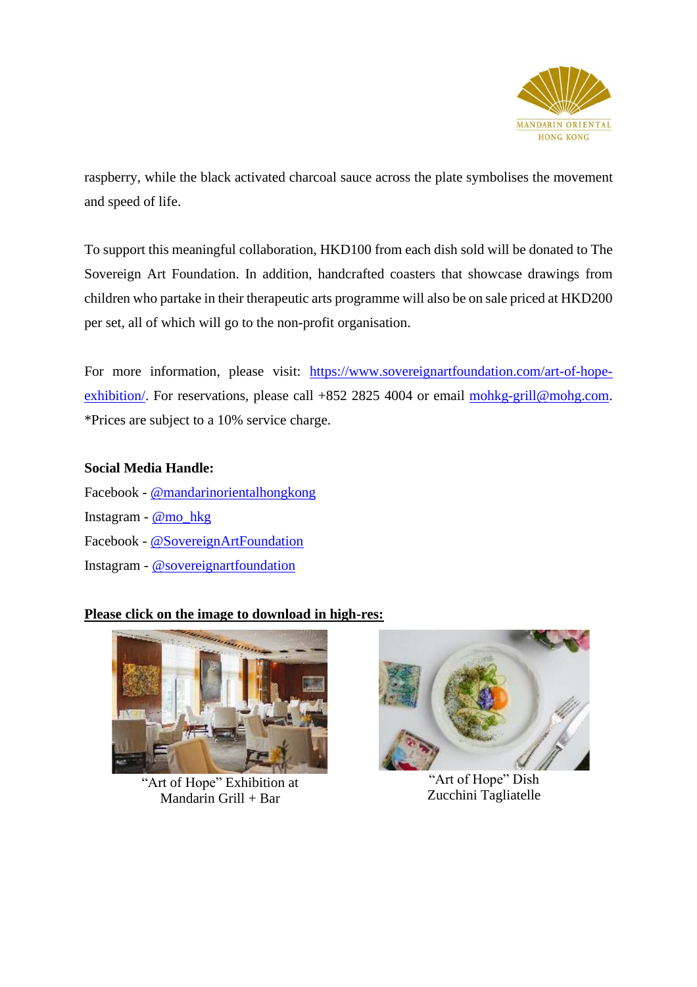

raspberry, while the black activated charcoal sauce across the plate symbolises the movement and speed of life.

To support this meaningful collaboration, HKD100 from each dish sold will be donated to The Sovereign Art Foundation. In addition, handcrafted coasters that showcase drawings from children who partake in their therapeutic arts programme will also be on sale priced at HKD200 per set, all of which will go to the non-profit organisation.

For more information, please visit: [https://www.sovereignartfoundation.com/art-of-hope](https://www.sovereignartfoundation.com/art-of-hope-exhibition/)exhibition. For reservations, please call +852 2825 4004 or email [mohkg-grill@mohg.com.](mailto:mohkg-grill@mohg.com) \*Prices are subject to a 10% service charge.

## **Social Media Handle:**

Facebook - [@mandarinorientalhongkong](https://www.facebook.com/MandarinOrientalHongKong) Instagram - <u>[@mo\\_hkg](https://www.instagram.com/mo_hkg/)</u> Facebook - [@SovereignArtFoundation](https://www.facebook.com/SovereignArtFoundation) Instagram - [@sovereignartfoundation](https://www.instagram.com/sovereignartfoundation/)

## **Please click on the image to download in high-res:**



"Art of Hope" Exhibition at Mandarin Grill + Bar



"Art of Hope" Dish Zucchini Tagliatelle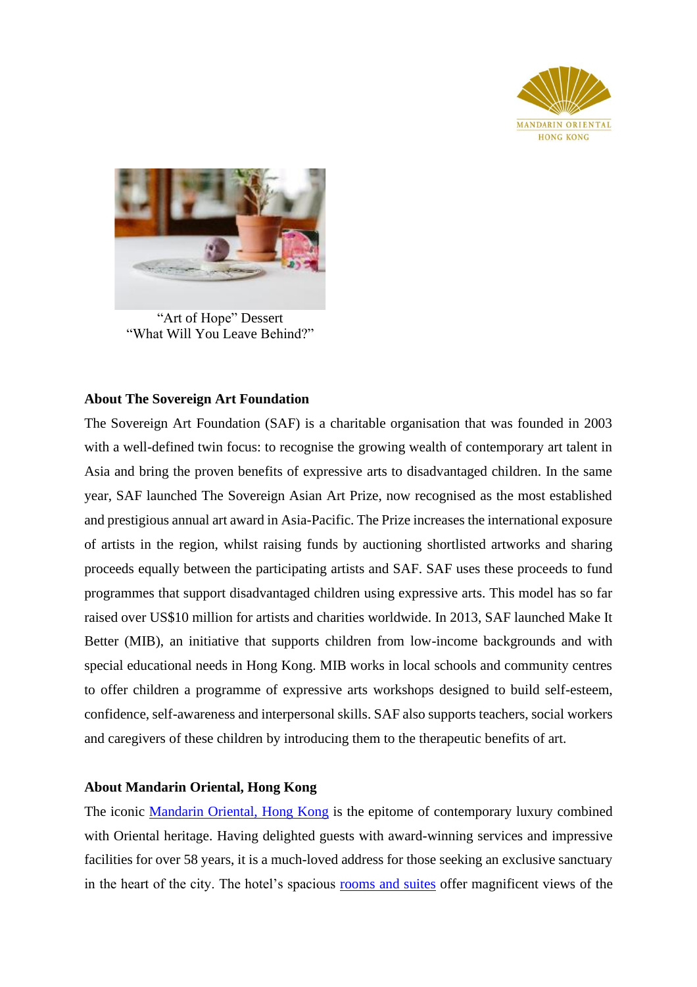



"Art of Hope" Dessert "What Will You Leave Behind?"

### **About The Sovereign Art Foundation**

The Sovereign Art Foundation (SAF) is a charitable organisation that was founded in 2003 with a well-defined twin focus: to recognise the growing wealth of contemporary art talent in Asia and bring the proven benefits of expressive arts to disadvantaged children. In the same year, SAF launched The Sovereign Asian Art Prize, now recognised as the most established and prestigious annual art award in Asia-Pacific. The Prize increases the international exposure of artists in the region, whilst raising funds by auctioning shortlisted artworks and sharing proceeds equally between the participating artists and SAF. SAF uses these proceeds to fund programmes that support disadvantaged children using expressive arts. This model has so far raised over US\$10 million for artists and charities worldwide. In 2013, SAF launched Make It Better (MIB), an initiative that supports children from low-income backgrounds and with special educational needs in Hong Kong. MIB works in local schools and community centres to offer children a programme of expressive arts workshops designed to build self-esteem, confidence, self-awareness and interpersonal skills. SAF also supports teachers, social workers and caregivers of these children by introducing them to the therapeutic benefits of art.

## **About Mandarin Oriental, Hong Kong**

The iconic [Mandarin Oriental, Hong Kong](http://www.mandarinoriental.com/hongkong) is the epitome of contemporary luxury combined with Oriental heritage. Having delighted guests with award-winning services and impressive facilities for over 58 years, it is a much-loved address for those seeking an exclusive sanctuary in the heart of the city. The hotel's spacious [rooms and suites](https://www.mandarinoriental.com/hong-kong/victoria-harbour/luxury-hotel/accommodations) offer magnificent views of the